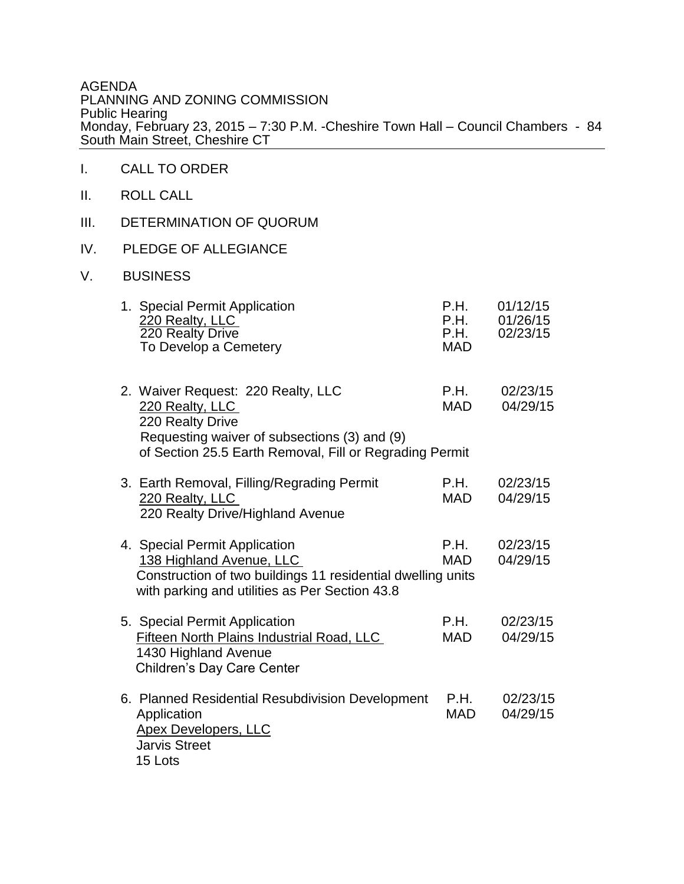AGENDA PLANNING AND ZONING COMMISSION Public Hearing Monday, February 23, 2015 – 7:30 P.M. -Cheshire Town Hall – Council Chambers - 84 South Main Street, Cheshire CT

- I. CALL TO ORDER
- II. ROLL CALL
- III. DETERMINATION OF QUORUM
- IV. PLEDGE OF ALLEGIANCE
- V. BUSINESS

| 1. Special Permit Application<br>220 Realty, LLC<br>220 Realty Drive<br>To Develop a Cemetery                                                                                        | P.H.<br>P.H.<br>P.H.<br><b>MAD</b> | 01/12/15<br>01/26/15<br>02/23/15 |
|--------------------------------------------------------------------------------------------------------------------------------------------------------------------------------------|------------------------------------|----------------------------------|
| 2. Waiver Request: 220 Realty, LLC<br>220 Realty, LLC<br>220 Realty Drive<br>Requesting waiver of subsections (3) and (9)<br>of Section 25.5 Earth Removal, Fill or Regrading Permit | P.H.<br><b>MAD</b>                 | 02/23/15<br>04/29/15             |
| 3. Earth Removal, Filling/Regrading Permit<br>220 Realty, LLC<br>220 Realty Drive/Highland Avenue                                                                                    | P.H.<br><b>MAD</b>                 | 02/23/15<br>04/29/15             |
| 4. Special Permit Application<br>138 Highland Avenue, LLC<br>Construction of two buildings 11 residential dwelling units<br>with parking and utilities as Per Section 43.8           | P.H.<br><b>MAD</b>                 | 02/23/15<br>04/29/15             |
| 5. Special Permit Application<br>Fifteen North Plains Industrial Road, LLC<br>1430 Highland Avenue<br>Children's Day Care Center                                                     | P.H.<br><b>MAD</b>                 | 02/23/15<br>04/29/15             |
| 6. Planned Residential Resubdivision Development<br>Application<br><b>Apex Developers, LLC</b><br><b>Jarvis Street</b><br>15 Lots                                                    | P.H.<br>MAD                        | 02/23/15<br>04/29/15             |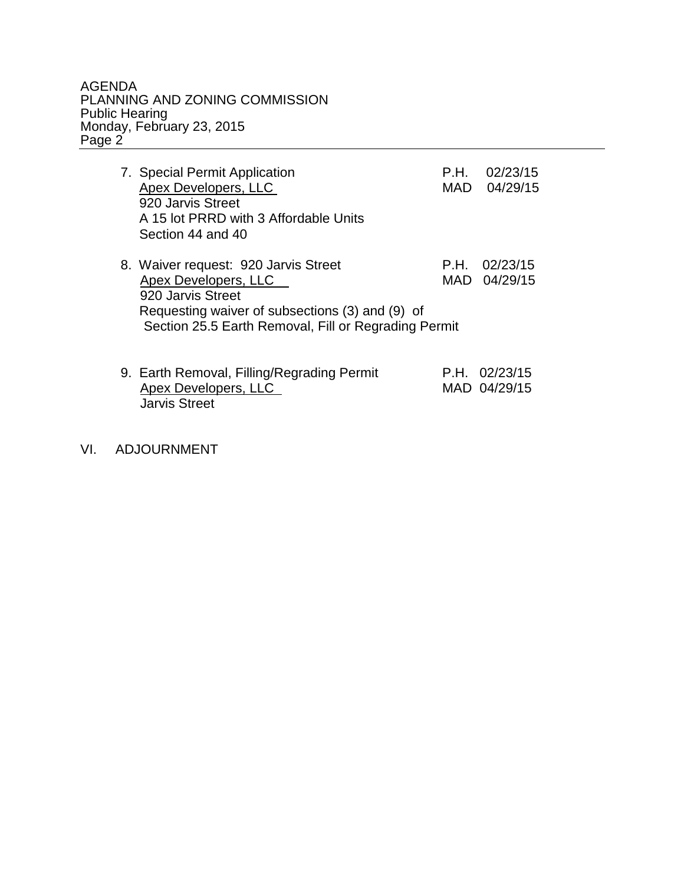## AGENDA PLANNING AND ZONING COMMISSION Public Hearing Monday, February 23, 2015 Page 2

| 7. Special Permit Application<br>Apex Developers, LLC<br>920 Jarvis Street<br>A 15 lot PRRD with 3 Affordable Units<br>Section 44 and 40                                                     | P.H.<br>MAD | 02/23/15<br>04/29/15            |
|----------------------------------------------------------------------------------------------------------------------------------------------------------------------------------------------|-------------|---------------------------------|
| 8. Waiver request: 920 Jarvis Street<br>Apex Developers, LLC<br>920 Jarvis Street<br>Requesting waiver of subsections (3) and (9) of<br>Section 25.5 Earth Removal, Fill or Regrading Permit | P.H.        | 02/23/15<br>MAD 04/29/15        |
| 9. Earth Removal, Filling/Regrading Permit<br>Apex Developers, LLC<br><b>Jarvis Street</b>                                                                                                   |             | $P.H.$ 02/23/15<br>MAD 04/29/15 |

## VI. ADJOURNMENT